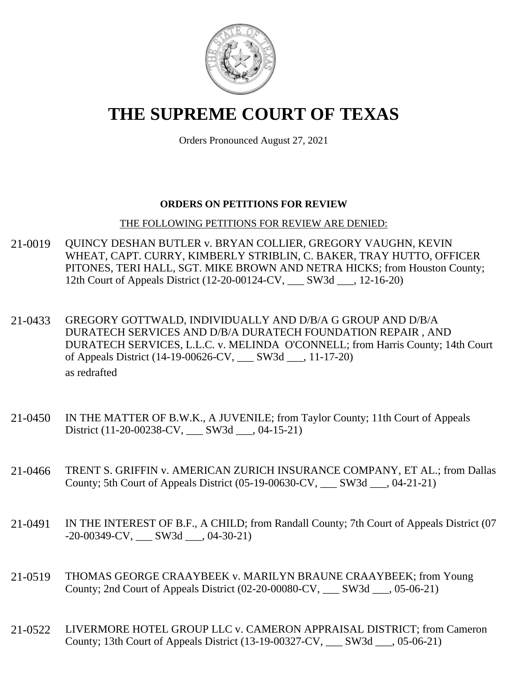

# **THE SUPREME COURT OF TEXAS**

Orders Pronounced August 27, 2021

### **ORDERS ON PETITIONS FOR REVIEW**

#### THE FOLLOWING PETITIONS FOR REVIEW ARE DENIED:

- 21-0019 QUINCY DESHAN BUTLER v. BRYAN COLLIER, GREGORY VAUGHN, KEVIN WHEAT, CAPT. CURRY, KIMBERLY STRIBLIN, C. BAKER, TRAY HUTTO, OFFICER PITONES, TERI HALL, SGT. MIKE BROWN AND NETRA HICKS; from Houston County; 12th Court of Appeals District (12-20-00124-CV, \_\_\_ SW3d \_\_\_, 12-16-20)
- 21-0433 GREGORY GOTTWALD, INDIVIDUALLY AND D/B/A G GROUP AND D/B/A DURATECH SERVICES AND D/B/A DURATECH FOUNDATION REPAIR , AND DURATECH SERVICES, L.L.C. v. MELINDA O'CONNELL; from Harris County; 14th Court of Appeals District (14-19-00626-CV, \_\_\_ SW3d \_\_\_, 11-17-20) as redrafted
- 21-0450 IN THE MATTER OF B.W.K., A JUVENILE; from Taylor County; 11th Court of Appeals District (11-20-00238-CV, \_\_\_ SW3d \_\_\_, 04-15-21)
- 21-0466 TRENT S. GRIFFIN v. AMERICAN ZURICH INSURANCE COMPANY, ET AL.; from Dallas County; 5th Court of Appeals District (05-19-00630-CV, \_\_\_ SW3d \_\_\_, 04-21-21)
- 21-0491 IN THE INTEREST OF B.F., A CHILD; from Randall County; 7th Court of Appeals District (07 -20-00349-CV, \_\_\_ SW3d \_\_\_, 04-30-21)
- 21-0519 THOMAS GEORGE CRAAYBEEK v. MARILYN BRAUNE CRAAYBEEK; from Young County; 2nd Court of Appeals District (02-20-00080-CV, \_\_\_ SW3d \_\_\_, 05-06-21)
- 21-0522 LIVERMORE HOTEL GROUP LLC v. CAMERON APPRAISAL DISTRICT; from Cameron County; 13th Court of Appeals District (13-19-00327-CV, \_\_\_ SW3d \_\_\_, 05-06-21)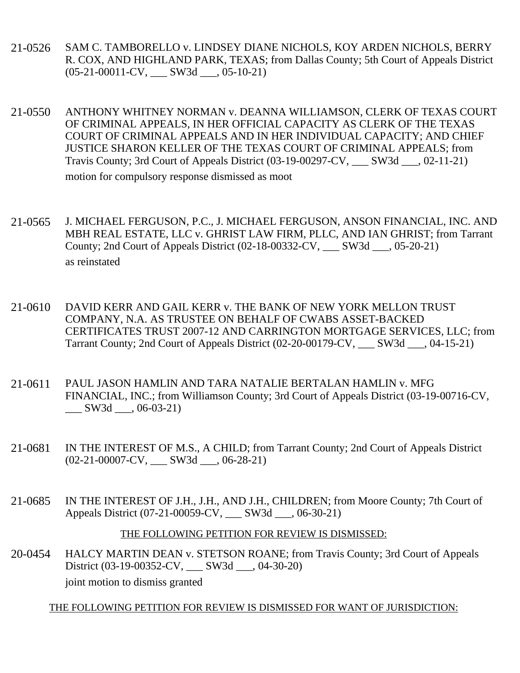- 21-0526 SAM C. TAMBORELLO v. LINDSEY DIANE NICHOLS, KOY ARDEN NICHOLS, BERRY R. COX, AND HIGHLAND PARK, TEXAS; from Dallas County; 5th Court of Appeals District  $(05-21-00011-CV,$  SW3d \_\_\_, 05-10-21)
- 21-0550 ANTHONY WHITNEY NORMAN v. DEANNA WILLIAMSON, CLERK OF TEXAS COURT OF CRIMINAL APPEALS, IN HER OFFICIAL CAPACITY AS CLERK OF THE TEXAS COURT OF CRIMINAL APPEALS AND IN HER INDIVIDUAL CAPACITY; AND CHIEF JUSTICE SHARON KELLER OF THE TEXAS COURT OF CRIMINAL APPEALS; from Travis County; 3rd Court of Appeals District (03-19-00297-CV, \_\_\_ SW3d \_\_\_, 02-11-21) motion for compulsory response dismissed as moot
- 21-0565 J. MICHAEL FERGUSON, P.C., J. MICHAEL FERGUSON, ANSON FINANCIAL, INC. AND MBH REAL ESTATE, LLC v. GHRIST LAW FIRM, PLLC, AND IAN GHRIST; from Tarrant County; 2nd Court of Appeals District (02-18-00332-CV, \_\_\_ SW3d \_\_\_, 05-20-21) as reinstated
- 21-0610 DAVID KERR AND GAIL KERR v. THE BANK OF NEW YORK MELLON TRUST COMPANY, N.A. AS TRUSTEE ON BEHALF OF CWABS ASSET-BACKED CERTIFICATES TRUST 2007-12 AND CARRINGTON MORTGAGE SERVICES, LLC; from Tarrant County; 2nd Court of Appeals District (02-20-00179-CV, \_\_\_ SW3d \_\_\_, 04-15-21)
- 21-0611 PAUL JASON HAMLIN AND TARA NATALIE BERTALAN HAMLIN v. MFG FINANCIAL, INC.; from Williamson County; 3rd Court of Appeals District (03-19-00716-CV,  $\frac{\text{SW3d}}{\text{S}}$ , 06-03-21)
- 21-0681 IN THE INTEREST OF M.S., A CHILD; from Tarrant County; 2nd Court of Appeals District (02-21-00007-CV, \_\_\_ SW3d \_\_\_, 06-28-21)
- 21-0685 IN THE INTEREST OF J.H., J.H., AND J.H., CHILDREN; from Moore County; 7th Court of Appeals District (07-21-00059-CV, \_\_\_ SW3d \_\_\_, 06-30-21)

#### THE FOLLOWING PETITION FOR REVIEW IS DISMISSED:

20-0454 HALCY MARTIN DEAN v. STETSON ROANE; from Travis County; 3rd Court of Appeals District (03-19-00352-CV, \_\_\_ SW3d \_\_\_, 04-30-20) joint motion to dismiss granted

#### THE FOLLOWING PETITION FOR REVIEW IS DISMISSED FOR WANT OF JURISDICTION: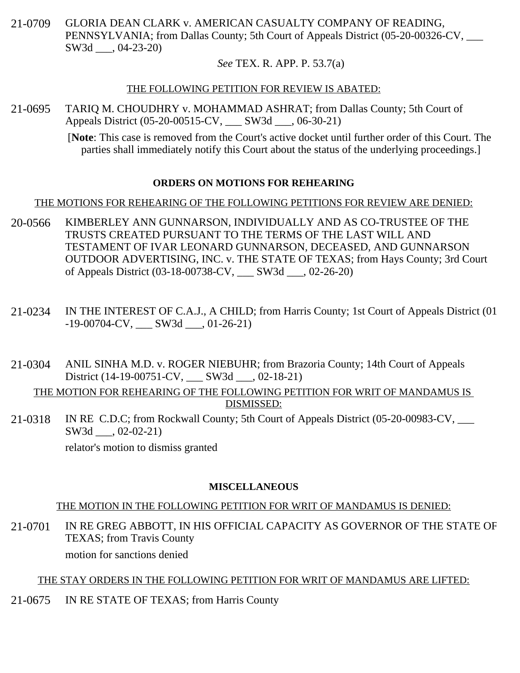21-0709 GLORIA DEAN CLARK v. AMERICAN CASUALTY COMPANY OF READING, PENNSYLVANIA; from Dallas County; 5th Court of Appeals District (05-20-00326-CV, \_\_\_ SW3d \_\_\_, 04-23-20)

### *See* TEX. R. APP. P. 53.7(a)

#### THE FOLLOWING PETITION FOR REVIEW IS ABATED:

21-0695 TARIQ M. CHOUDHRY v. MOHAMMAD ASHRAT; from Dallas County; 5th Court of Appeals District (05-20-00515-CV, \_\_\_ SW3d \_\_\_, 06-30-21)

> [**Note**: This case is removed from the Court's active docket until further order of this Court. The parties shall immediately notify this Court about the status of the underlying proceedings.]

### **ORDERS ON MOTIONS FOR REHEARING**

### THE MOTIONS FOR REHEARING OF THE FOLLOWING PETITIONS FOR REVIEW ARE DENIED:

- 20-0566 KIMBERLEY ANN GUNNARSON, INDIVIDUALLY AND AS CO-TRUSTEE OF THE TRUSTS CREATED PURSUANT TO THE TERMS OF THE LAST WILL AND TESTAMENT OF IVAR LEONARD GUNNARSON, DECEASED, AND GUNNARSON OUTDOOR ADVERTISING, INC. v. THE STATE OF TEXAS; from Hays County; 3rd Court of Appeals District (03-18-00738-CV, \_\_\_ SW3d \_\_\_, 02-26-20)
- 21-0234 IN THE INTEREST OF C.A.J., A CHILD; from Harris County; 1st Court of Appeals District (01  $-19-00704$ -CV, SW3d  $, 01-26-21)$
- 21-0304 ANIL SINHA M.D. v. ROGER NIEBUHR; from Brazoria County; 14th Court of Appeals District (14-19-00751-CV, SW3d .02-18-21)

THE MOTION FOR REHEARING OF THE FOLLOWING PETITION FOR WRIT OF MANDAMUS IS DISMISSED:

21-0318 IN RE C.D.C; from Rockwall County; 5th Court of Appeals District (05-20-00983-CV, SW3d  $, 02-02-21)$ 

relator's motion to dismiss granted

#### **MISCELLANEOUS**

## THE MOTION IN THE FOLLOWING PETITION FOR WRIT OF MANDAMUS IS DENIED:

21-0701 IN RE GREG ABBOTT, IN HIS OFFICIAL CAPACITY AS GOVERNOR OF THE STATE OF TEXAS; from Travis County motion for sanctions denied

## THE STAY ORDERS IN THE FOLLOWING PETITION FOR WRIT OF MANDAMUS ARE LIFTED:

21-0675 IN RE STATE OF TEXAS; from Harris County